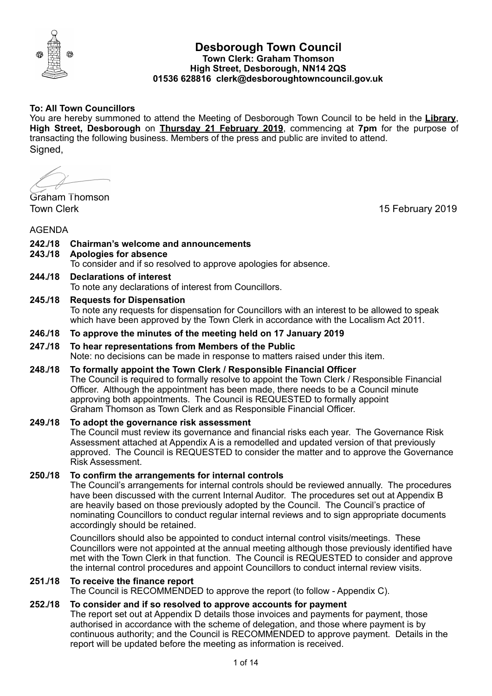

# **Desborough Town Council Town Clerk: Graham Thomson High Street, Desborough, NN14 2QS 01536 628816 clerk@desboroughtowncouncil.gov.uk**

# **To: All Town Councillors**

You are hereby summoned to attend the Meeting of Desborough Town Council to be held in the **Library**, **High Street, Desborough** on **Thursday 21 February 2019**, commencing at **7pm** for the purpose of transacting the following business. Members of the press and public are invited to attend. Signed,

Graham Thomson

Town Clerk 15 February 2019

AGENDA

# **242./18 Chairman's welcome and announcements**

**243./18 Apologies for absence** 

To consider and if so resolved to approve apologies for absence.

**244./18 Declarations of interest**  To note any declarations of interest from Councillors.

# **245./18 Requests for Dispensation**

To note any requests for dispensation for Councillors with an interest to be allowed to speak which have been approved by the Town Clerk in accordance with the Localism Act 2011.

#### **246./18 To approve the minutes of the meeting held on 17 January 2019**

# **247./18 To hear representations from Members of the Public**

Note: no decisions can be made in response to matters raised under this item.

# **248./18 To formally appoint the Town Clerk / Responsible Financial Officer**

The Council is required to formally resolve to appoint the Town Clerk / Responsible Financial Officer. Although the appointment has been made, there needs to be a Council minute approving both appointments. The Council is REQUESTED to formally appoint Graham Thomson as Town Clerk and as Responsible Financial Officer.

#### **249./18 To adopt the governance risk assessment**

The Council must review its governance and financial risks each year. The Governance Risk Assessment attached at Appendix A is a remodelled and updated version of that previously approved. The Council is REQUESTED to consider the matter and to approve the Governance Risk Assessment.

#### **250./18 To confirm the arrangements for internal controls**

The Council's arrangements for internal controls should be reviewed annually. The procedures have been discussed with the current Internal Auditor. The procedures set out at Appendix B are heavily based on those previously adopted by the Council. The Council's practice of nominating Councillors to conduct regular internal reviews and to sign appropriate documents accordingly should be retained.

Councillors should also be appointed to conduct internal control visits/meetings. These Councillors were not appointed at the annual meeting although those previously identified have met with the Town Clerk in that function. The Council is REQUESTED to consider and approve the internal control procedures and appoint Councillors to conduct internal review visits.

#### **251./18 To receive the finance report**

The Council is RECOMMENDED to approve the report (to follow - Appendix C).

### **252./18 To consider and if so resolved to approve accounts for payment**

The report set out at Appendix D details those invoices and payments for payment, those authorised in accordance with the scheme of delegation, and those where payment is by continuous authority; and the Council is RECOMMENDED to approve payment. Details in the report will be updated before the meeting as information is received.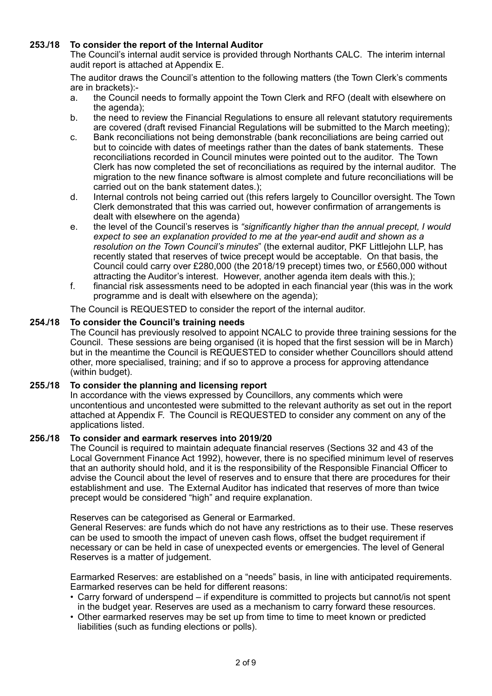# **253./18 To consider the report of the Internal Auditor**

The Council's internal audit service is provided through Northants CALC. The interim internal audit report is attached at Appendix E.

The auditor draws the Council's attention to the following matters (the Town Clerk's comments are in brackets):-

- a. the Council needs to formally appoint the Town Clerk and RFO (dealt with elsewhere on the agenda);
- b. the need to review the Financial Regulations to ensure all relevant statutory requirements are covered (draft revised Financial Regulations will be submitted to the March meeting);
- c. Bank reconciliations not being demonstrable (bank reconciliations are being carried out but to coincide with dates of meetings rather than the dates of bank statements. These reconciliations recorded in Council minutes were pointed out to the auditor. The Town Clerk has now completed the set of reconciliations as required by the internal auditor. The migration to the new finance software is almost complete and future reconciliations will be carried out on the bank statement dates.);
- d. Internal controls not being carried out (this refers largely to Councillor oversight. The Town Clerk demonstrated that this was carried out, however confirmation of arrangements is dealt with elsewhere on the agenda)
- e. the level of the Council's reserves is *"significantly higher than the annual precept, I would expect to see an explanation provided to me at the year-end audit and shown as a resolution on the Town Council's minutes*" (the external auditor, PKF Littlejohn LLP, has recently stated that reserves of twice precept would be acceptable. On that basis, the Council could carry over £280,000 (the 2018/19 precept) times two, or £560,000 without attracting the Auditor's interest. However, another agenda item deals with this.);
- f. financial risk assessments need to be adopted in each financial year (this was in the work programme and is dealt with elsewhere on the agenda);

The Council is REQUESTED to consider the report of the internal auditor.

# **254./18 To consider the Council's training needs**

The Council has previously resolved to appoint NCALC to provide three training sessions for the Council. These sessions are being organised (it is hoped that the first session will be in March) but in the meantime the Council is REQUESTED to consider whether Councillors should attend other, more specialised, training; and if so to approve a process for approving attendance (within budget).

#### **255./18 To consider the planning and licensing report**

In accordance with the views expressed by Councillors, any comments which were uncontentious and uncontested were submitted to the relevant authority as set out in the report attached at Appendix F. The Council is REQUESTED to consider any comment on any of the applications listed.

#### **256./18 To consider and earmark reserves into 2019/20**

The Council is required to maintain adequate financial reserves (Sections 32 and 43 of the Local Government Finance Act 1992), however, there is no specified minimum level of reserves that an authority should hold, and it is the responsibility of the Responsible Financial Officer to advise the Council about the level of reserves and to ensure that there are procedures for their establishment and use. The External Auditor has indicated that reserves of more than twice precept would be considered "high" and require explanation.

Reserves can be categorised as General or Earmarked.

General Reserves: are funds which do not have any restrictions as to their use. These reserves can be used to smooth the impact of uneven cash flows, offset the budget requirement if necessary or can be held in case of unexpected events or emergencies. The level of General Reserves is a matter of judgement.

Earmarked Reserves: are established on a "needs" basis, in line with anticipated requirements. Earmarked reserves can be held for different reasons:

- Carry forward of underspend if expenditure is committed to projects but cannot/is not spent in the budget year. Reserves are used as a mechanism to carry forward these resources.
- Other earmarked reserves may be set up from time to time to meet known or predicted liabilities (such as funding elections or polls).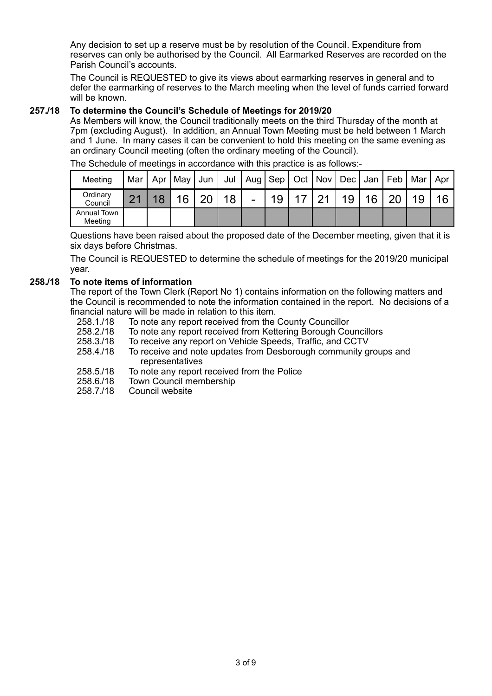Any decision to set up a reserve must be by resolution of the Council. Expenditure from reserves can only be authorised by the Council. All Earmarked Reserves are recorded on the Parish Council's accounts.

The Council is REQUESTED to give its views about earmarking reserves in general and to defer the earmarking of reserves to the March meeting when the level of funds carried forward will be known.

# **257./18 To determine the Council's Schedule of Meetings for 2019/20**

As Members will know, the Council traditionally meets on the third Thursday of the month at 7pm (excluding August). In addition, an Annual Town Meeting must be held between 1 March and 1 June. In many cases it can be convenient to hold this meeting on the same evening as an ordinary Council meeting (often the ordinary meeting of the Council).

| Meeting                | Mar          | Apr   May | Jun |    |                |    |          |    |    |    | Mar | Apr |
|------------------------|--------------|-----------|-----|----|----------------|----|----------|----|----|----|-----|-----|
| Ordinary<br>Council    | $\mathbf{A}$ | 16        | ററ  | 18 | $\blacksquare$ | 19 | $\Omega$ | 19 | 16 | ററ | 19  |     |
| Annual Town<br>Meeting |              |           |     |    |                |    |          |    |    |    |     |     |

The Schedule of meetings in accordance with this practice is as follows:-

Questions have been raised about the proposed date of the December meeting, given that it is six days before Christmas.

The Council is REQUESTED to determine the schedule of meetings for the 2019/20 municipal year.

# **258./18 To note items of information**

The report of the Town Clerk (Report No 1) contains information on the following matters and the Council is recommended to note the information contained in the report. No decisions of a financial nature will be made in relation to this item.

- 258.1./18 To note any report received from the County Councillor
- 258.2./18 To note any report received from Kettering Borough Councillors
- 258.3./18 To receive any report on Vehicle Speeds, Traffic, and CCTV
- 258.4./18 To receive and note updates from Desborough community groups and representatives
- 258.5./18 To note any report received from the Police
- 258.6./18 Town Council membership
- 258.7./18 Council website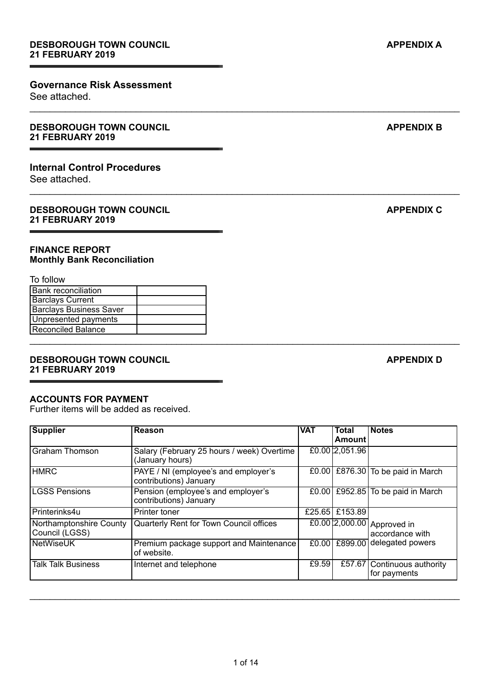# **Governance Risk Assessment**

See attached.

#### **DESBOROUGH TOWN COUNCIL APPENDIX B APPENDIX B 21 FEBRUARY 2019**

# **Internal Control Procedures**

See attached.

### **DESBOROUGH TOWN COUNCIL APPENDIX C 21 FEBRUARY 2019**

# **FINANCE REPORT Monthly Bank Reconciliation**

#### To follow

| <b>Bank reconciliation</b>     |  |
|--------------------------------|--|
| <b>Barclays Current</b>        |  |
| <b>Barclays Business Saver</b> |  |
| Unpresented payments           |  |
| Reconciled Balance             |  |
|                                |  |

# **DESBOROUGH TOWN COUNCIL** APPENDIX D **21 FEBRUARY 2019**

#### **ACCOUNTS FOR PAYMENT**

Further items will be added as received.

| <b>Supplier</b>                           | Reason                                                         | <b>VAT</b> | <b>Total</b><br><b>Amount</b> | <b>Notes</b>                                  |
|-------------------------------------------|----------------------------------------------------------------|------------|-------------------------------|-----------------------------------------------|
| <b>Graham Thomson</b>                     | Salary (February 25 hours / week) Overtime<br>(January hours)  |            | £0.00 2,051.96                |                                               |
| <b>HMRC</b>                               | PAYE / NI (employee's and employer's<br>contributions) January |            |                               | £0.00 £876.30 To be paid in March             |
| <b>LGSS Pensions</b>                      | Pension (employee's and employer's<br>contributions) January   |            |                               | £0.00 £952.85 To be paid in March             |
| Printerinks4u                             | Printer toner                                                  |            | £25.65 £153.89                |                                               |
| Northamptonshire County<br>Council (LGSS) | Quarterly Rent for Town Council offices                        |            |                               | £0.0012,000.00 Approved in<br>accordance with |
| <b>NetWiseUK</b>                          | Premium package support and Maintenance<br>of website.         |            |                               | £0.00 £899.00 delegated powers                |
| <b>Talk Talk Business</b>                 | Internet and telephone                                         | £9.59      |                               | £57.67 Continuous authority<br>for payments   |

\_\_\_\_\_\_\_\_\_\_\_\_\_\_\_\_\_\_\_\_\_\_\_\_\_\_\_\_\_\_\_\_\_\_\_\_\_\_\_\_\_\_\_\_\_\_\_\_\_\_\_\_\_\_\_\_\_\_\_\_\_\_\_\_\_\_\_\_\_\_\_\_\_\_\_\_\_\_\_\_\_\_\_\_\_

 $\_$  ,  $\_$  ,  $\_$  ,  $\_$  ,  $\_$  ,  $\_$  ,  $\_$  ,  $\_$  ,  $\_$  ,  $\_$  ,  $\_$  ,  $\_$  ,  $\_$  ,  $\_$  ,  $\_$  ,  $\_$  ,  $\_$  ,  $\_$  ,  $\_$  ,  $\_$  ,  $\_$  ,  $\_$  ,  $\_$  ,  $\_$  ,  $\_$  ,  $\_$  ,  $\_$  ,  $\_$  ,  $\_$  ,  $\_$  ,  $\_$  ,  $\_$  ,  $\_$  ,  $\_$  ,  $\_$  ,  $\_$  ,  $\_$  ,

 $\_$  ,  $\_$  ,  $\_$  ,  $\_$  ,  $\_$  ,  $\_$  ,  $\_$  ,  $\_$  ,  $\_$  ,  $\_$  ,  $\_$  ,  $\_$  ,  $\_$  ,  $\_$  ,  $\_$  ,  $\_$  ,  $\_$  ,  $\_$  ,  $\_$  ,  $\_$  ,  $\_$  ,  $\_$  ,  $\_$  ,  $\_$  ,  $\_$  ,  $\_$  ,  $\_$  ,  $\_$  ,  $\_$  ,  $\_$  ,  $\_$  ,  $\_$  ,  $\_$  ,  $\_$  ,  $\_$  ,  $\_$  ,  $\_$  ,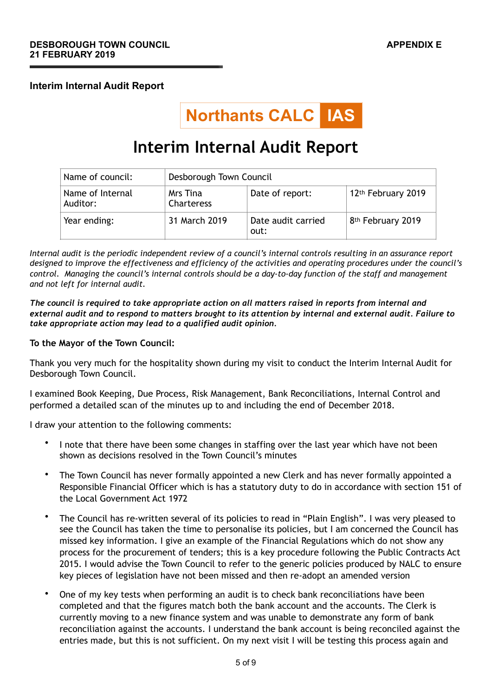# **Interim Internal Audit Report**



# **Interim Internal Audit Report**

| Name of council:             | Desborough Town Council       |                            |                                |  |  |
|------------------------------|-------------------------------|----------------------------|--------------------------------|--|--|
| Name of Internal<br>Auditor: | Mrs Tina<br><b>Charteress</b> | Date of report:            | 12 <sup>th</sup> February 2019 |  |  |
| Year ending:                 | 31 March 2019                 | Date audit carried<br>out: | 8 <sup>th</sup> February 2019  |  |  |

*Internal audit is the periodic independent review of a council's internal controls resulting in an assurance report designed to improve the effectiveness and efficiency of the activities and operating procedures under the council's control. Managing the council's internal controls should be a day-to-day function of the staff and management and not left for internal audit.*

*The council is required to take appropriate action on all matters raised in reports from internal and external audit and to respond to matters brought to its attention by internal and external audit. Failure to take appropriate action may lead to a qualified audit opinion.*

### **To the Mayor of the Town Council:**

Thank you very much for the hospitality shown during my visit to conduct the Interim Internal Audit for Desborough Town Council.

I examined Book Keeping, Due Process, Risk Management, Bank Reconciliations, Internal Control and performed a detailed scan of the minutes up to and including the end of December 2018.

I draw your attention to the following comments:

- I note that there have been some changes in staffing over the last year which have not been shown as decisions resolved in the Town Council's minutes
- The Town Council has never formally appointed a new Clerk and has never formally appointed a Responsible Financial Officer which is has a statutory duty to do in accordance with section 151 of the Local Government Act 1972
- The Council has re-written several of its policies to read in "Plain English". I was very pleased to see the Council has taken the time to personalise its policies, but I am concerned the Council has missed key information. I give an example of the Financial Regulations which do not show any process for the procurement of tenders; this is a key procedure following the Public Contracts Act 2015. I would advise the Town Council to refer to the generic policies produced by NALC to ensure key pieces of legislation have not been missed and then re-adopt an amended version
- One of my key tests when performing an audit is to check bank reconciliations have been completed and that the figures match both the bank account and the accounts. The Clerk is currently moving to a new finance system and was unable to demonstrate any form of bank reconciliation against the accounts. I understand the bank account is being reconciled against the entries made, but this is not sufficient. On my next visit I will be testing this process again and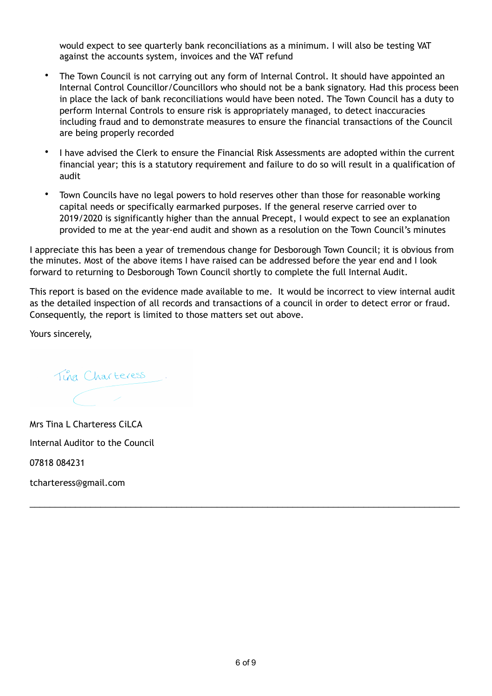would expect to see quarterly bank reconciliations as a minimum. I will also be testing VAT against the accounts system, invoices and the VAT refund

- The Town Council is not carrying out any form of Internal Control. It should have appointed an Internal Control Councillor/Councillors who should not be a bank signatory. Had this process been in place the lack of bank reconciliations would have been noted. The Town Council has a duty to perform Internal Controls to ensure risk is appropriately managed, to detect inaccuracies including fraud and to demonstrate measures to ensure the financial transactions of the Council are being properly recorded
- I have advised the Clerk to ensure the Financial Risk Assessments are adopted within the current financial year; this is a statutory requirement and failure to do so will result in a qualification of audit
- Town Councils have no legal powers to hold reserves other than those for reasonable working capital needs or specifically earmarked purposes. If the general reserve carried over to 2019/2020 is significantly higher than the annual Precept, I would expect to see an explanation provided to me at the year-end audit and shown as a resolution on the Town Council's minutes

I appreciate this has been a year of tremendous change for Desborough Town Council; it is obvious from the minutes. Most of the above items I have raised can be addressed before the year end and I look forward to returning to Desborough Town Council shortly to complete the full Internal Audit.

This report is based on the evidence made available to me. It would be incorrect to view internal audit as the detailed inspection of all records and transactions of a council in order to detect error or fraud. Consequently, the report is limited to those matters set out above.

Yours sincerely,

Tina Charteress.

Mrs Tina L Charteress CiLCA Internal Auditor to the Council 07818 084231

tcharteress@gmail.com

\_\_\_\_\_\_\_\_\_\_\_\_\_\_\_\_\_\_\_\_\_\_\_\_\_\_\_\_\_\_\_\_\_\_\_\_\_\_\_\_\_\_\_\_\_\_\_\_\_\_\_\_\_\_\_\_\_\_\_\_\_\_\_\_\_\_\_\_\_\_\_\_\_\_\_\_\_\_\_\_\_\_\_\_\_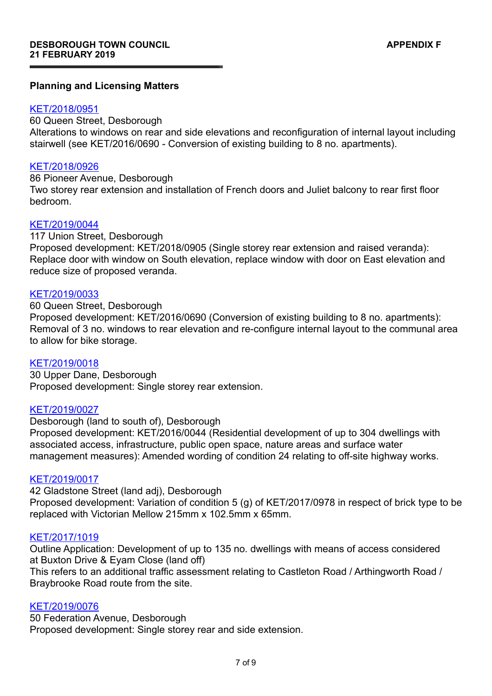# **Planning and Licensing Matters**

# [KET/2018/0951](https://www.kettering.gov.uk/planningApplication/128485)

60 Queen Street, Desborough

Alterations to windows on rear and side elevations and reconfiguration of internal layout including stairwell (see KET/2016/0690 - Conversion of existing building to 8 no. apartments).

# [KET/2018/0926](https://www.kettering.gov.uk/planningApplication/128473)

86 Pioneer Avenue, Desborough

Two storey rear extension and installation of French doors and Juliet balcony to rear first floor bedroom.

# [KET/2019/0044](https://www.kettering.gov.uk/planningApplication/128539)

117 Union Street, Desborough

Proposed development: KET/2018/0905 (Single storey rear extension and raised veranda): Replace door with window on South elevation, replace window with door on East elevation and reduce size of proposed veranda.

# [KET/2019/0033](https://www.kettering.gov.uk/planningApplication/128529)

60 Queen Street, Desborough

Proposed development: KET/2016/0690 (Conversion of existing building to 8 no. apartments): Removal of 3 no. windows to rear elevation and re-configure internal layout to the communal area to allow for bike storage.

#### [KET/2019/0018](https://www.kettering.gov.uk/planningApplication/128520)

30 Upper Dane, Desborough Proposed development: Single storey rear extension.

#### [KET/2019/0027](https://www.kettering.gov.uk/planningApplication/128521)

Desborough (land to south of), Desborough Proposed development: KET/2016/0044 (Residential development of up to 304 dwellings with associated access, infrastructure, public open space, nature areas and surface water management measures): Amended wording of condition 24 relating to off-site highway works.

# [KET/2019/0017](https://www.kettering.gov.uk/planningApplication/128519)

42 Gladstone Street (land adj), Desborough Proposed development: Variation of condition 5 (g) of KET/2017/0978 in respect of brick type to be replaced with Victorian Mellow 215mm x 102.5mm x 65mm.

#### [KET/2017/1019](https://www.kettering.gov.uk/planningApplication/127553)

Outline Application: Development of up to 135 no. dwellings with means of access considered at Buxton Drive & Eyam Close (land off)

This refers to an additional traffic assessment relating to Castleton Road / Arthingworth Road / Braybrooke Road route from the site.

# [KET/2019/0076](https://www.kettering.gov.uk/planningApplication/128600)

50 Federation Avenue, Desborough Proposed development: Single storey rear and side extension.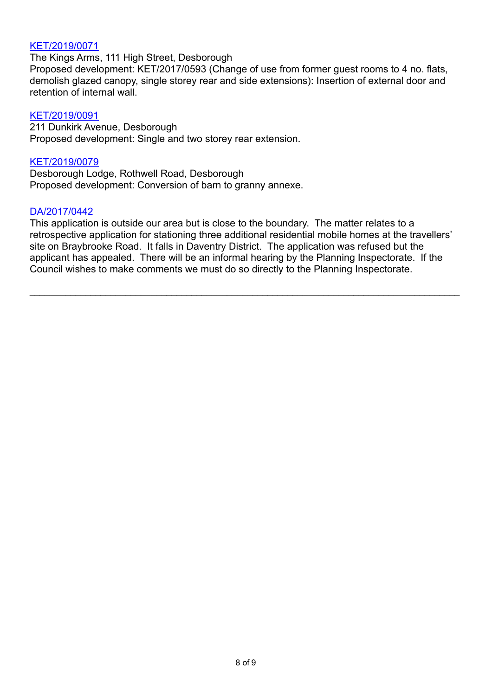# [KET/2019/0071](https://www.kettering.gov.uk/planningApplication/128599)

The Kings Arms, 111 High Street, Desborough

Proposed development: KET/2017/0593 (Change of use from former guest rooms to 4 no. flats, demolish glazed canopy, single storey rear and side extensions): Insertion of external door and retention of internal wall.

# [KET/2019/0091](https://www.kettering.gov.uk/planningApplication/128601)

211 Dunkirk Avenue, Desborough Proposed development: Single and two storey rear extension.

# [KET/2019/0079](https://www.kettering.gov.uk/planningApplication/128594)

Desborough Lodge, Rothwell Road, Desborough Proposed development: Conversion of barn to granny annexe.

# [DA/2017/0442](http://selfservice.daventrydc.gov.uk/swiftlg/apas/run/WPHAPPDETAIL.DisplayUrl?theApnID=DA/2017/0442&theTabNo=2&backURL=%3Ca%20href=wphappcriteria.display?paSearchKey=1099530%3ESearch%20Criteria%3C/a%3E%20%3E%20%3Ca%20href=)

This application is outside our area but is close to the boundary. The matter relates to a retrospective application for stationing three additional residential mobile homes at the travellers' site on Braybrooke Road. It falls in Daventry District. The application was refused but the applicant has appealed. There will be an informal hearing by the Planning Inspectorate. If the Council wishes to make comments we must do so directly to the Planning Inspectorate.

 $\_$  ,  $\_$  ,  $\_$  ,  $\_$  ,  $\_$  ,  $\_$  ,  $\_$  ,  $\_$  ,  $\_$  ,  $\_$  ,  $\_$  ,  $\_$  ,  $\_$  ,  $\_$  ,  $\_$  ,  $\_$  ,  $\_$  ,  $\_$  ,  $\_$  ,  $\_$  ,  $\_$  ,  $\_$  ,  $\_$  ,  $\_$  ,  $\_$  ,  $\_$  ,  $\_$  ,  $\_$  ,  $\_$  ,  $\_$  ,  $\_$  ,  $\_$  ,  $\_$  ,  $\_$  ,  $\_$  ,  $\_$  ,  $\_$  ,